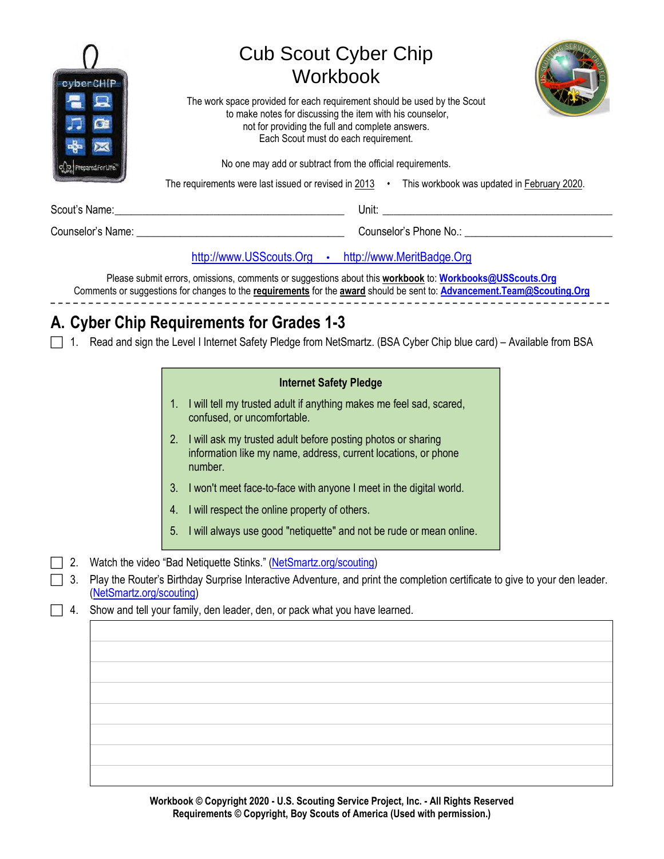| cyber CHIP         | <b>Cub Scout Cyber Chip</b><br><b>Workbook</b>                                                                                                                                                                                      |
|--------------------|-------------------------------------------------------------------------------------------------------------------------------------------------------------------------------------------------------------------------------------|
|                    | The work space provided for each requirement should be used by the Scout<br>to make notes for discussing the item with his counselor,<br>not for providing the full and complete answers.<br>Each Scout must do each requirement.   |
| Prepared For Life. | No one may add or subtract from the official requirements.                                                                                                                                                                          |
|                    | The requirements were last issued or revised in 2013 • This workbook was updated in February 2020.                                                                                                                                  |
|                    | <b>Unit:</b> the contract of the contract of the contract of the contract of the contract of the contract of the contract of the contract of the contract of the contract of the contract of the contract of the contract of the co |
|                    |                                                                                                                                                                                                                                     |
|                    | http://www.USScouts.Org • http://www.MeritBadge.Org                                                                                                                                                                                 |

Please submit errors, omissions, comments or suggestions about this **workbook** to: **Workbooks@USScouts.Org** Comments or suggestions for changes to the **requirements** for the **award** should be sent to: **Advancement.Team@Scouting.Org**

# **A. Cyber Chip Requirements for Grades 1-3**

1. Read and sign the Level I Internet Safety Pledge from NetSmartz. (BSA Cyber Chip blue card) – Available from BSA

| <b>Internet Safety Pledge</b> |  |  |
|-------------------------------|--|--|
|-------------------------------|--|--|

- 1. I will tell my trusted adult if anything makes me feel sad, scared, confused, or uncomfortable.
- 2. I will ask my trusted adult before posting photos or sharing information like my name, address, current locations, or phone number.
- 3. I won't meet face-to-face with anyone I meet in the digital world.
- 4. I will respect the online property of others.
- 5. I will always use good "netiquette" and not be rude or mean online.
- 2. Watch the video "Bad Netiquette Stinks." (NetSmartz.org/scouting)
- 3. Play the Router's Birthday Surprise Interactive Adventure, and print the completion certificate to give to your den leader. (NetSmartz.org/scouting)
- $\Box$  4. Show and tell your family, den leader, den, or pack what you have learned.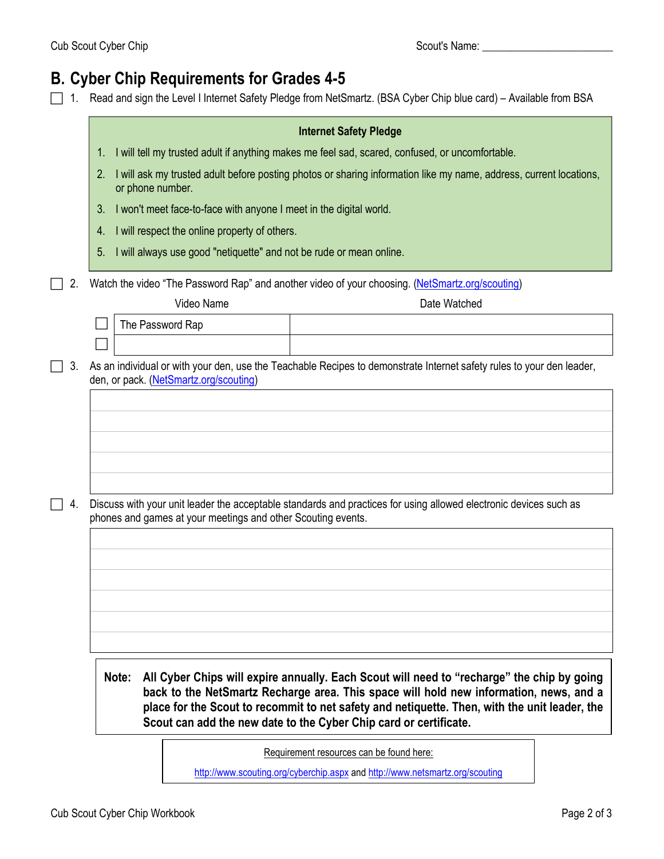# **B. Cyber Chip Requirements for Grades 4-5**

1. Read and sign the Level I Internet Safety Pledge from NetSmartz. (BSA Cyber Chip blue card) – Available from BSA

|                        |                                                                    | <b>Internet Safety Pledge</b>                                                                                                                                                                                                                                                                                                                              |  |
|------------------------|--------------------------------------------------------------------|------------------------------------------------------------------------------------------------------------------------------------------------------------------------------------------------------------------------------------------------------------------------------------------------------------------------------------------------------------|--|
| 1.                     |                                                                    | I will tell my trusted adult if anything makes me feel sad, scared, confused, or uncomfortable.                                                                                                                                                                                                                                                            |  |
| 2.<br>or phone number. |                                                                    | I will ask my trusted adult before posting photos or sharing information like my name, address, current locations,                                                                                                                                                                                                                                         |  |
| 3.                     | I won't meet face-to-face with anyone I meet in the digital world. |                                                                                                                                                                                                                                                                                                                                                            |  |
| 4.                     | I will respect the online property of others.                      |                                                                                                                                                                                                                                                                                                                                                            |  |
| 5.                     |                                                                    | I will always use good "netiquette" and not be rude or mean online.                                                                                                                                                                                                                                                                                        |  |
|                        |                                                                    | Watch the video "The Password Rap" and another video of your choosing. (NetSmartz.org/scouting)                                                                                                                                                                                                                                                            |  |
|                        | Video Name                                                         | Date Watched                                                                                                                                                                                                                                                                                                                                               |  |
| The Password Rap       |                                                                    |                                                                                                                                                                                                                                                                                                                                                            |  |
|                        |                                                                    |                                                                                                                                                                                                                                                                                                                                                            |  |
|                        | den, or pack. (NetSmartz.org/scouting)                             | As an individual or with your den, use the Teachable Recipes to demonstrate Internet safety rules to your den leader,                                                                                                                                                                                                                                      |  |
|                        |                                                                    |                                                                                                                                                                                                                                                                                                                                                            |  |
|                        |                                                                    |                                                                                                                                                                                                                                                                                                                                                            |  |
|                        |                                                                    |                                                                                                                                                                                                                                                                                                                                                            |  |
|                        |                                                                    |                                                                                                                                                                                                                                                                                                                                                            |  |
|                        |                                                                    |                                                                                                                                                                                                                                                                                                                                                            |  |
|                        |                                                                    |                                                                                                                                                                                                                                                                                                                                                            |  |
|                        |                                                                    | Discuss with your unit leader the acceptable standards and practices for using allowed electronic devices such as                                                                                                                                                                                                                                          |  |
|                        | phones and games at your meetings and other Scouting events.       |                                                                                                                                                                                                                                                                                                                                                            |  |
|                        |                                                                    |                                                                                                                                                                                                                                                                                                                                                            |  |
|                        |                                                                    |                                                                                                                                                                                                                                                                                                                                                            |  |
|                        |                                                                    |                                                                                                                                                                                                                                                                                                                                                            |  |
|                        |                                                                    |                                                                                                                                                                                                                                                                                                                                                            |  |
|                        |                                                                    |                                                                                                                                                                                                                                                                                                                                                            |  |
|                        |                                                                    |                                                                                                                                                                                                                                                                                                                                                            |  |
|                        |                                                                    |                                                                                                                                                                                                                                                                                                                                                            |  |
| Note:                  |                                                                    | All Cyber Chips will expire annually. Each Scout will need to "recharge" the chip by going<br>back to the NetSmartz Recharge area. This space will hold new information, news, and a<br>place for the Scout to recommit to net safety and netiquette. Then, with the unit leader, the<br>Scout can add the new date to the Cyber Chip card or certificate. |  |

http://www.scouting.org/cyberchip.aspx and http://www.netsmartz.org/scouting